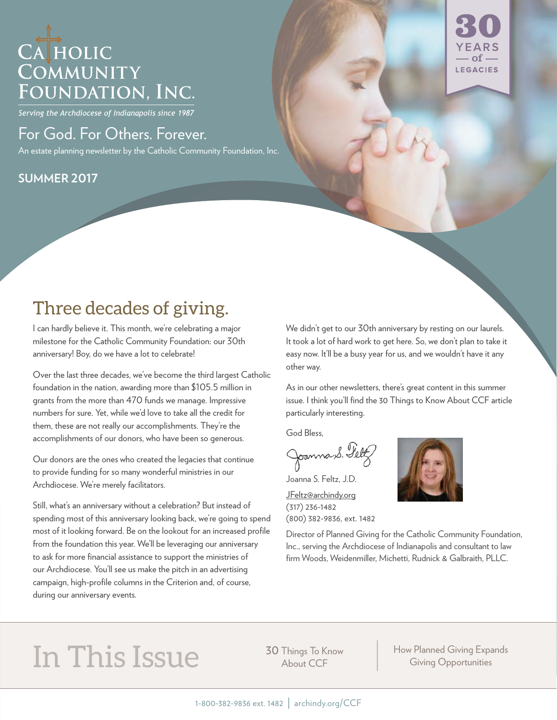## CATHOLIC COMMUNITY FOUNDATION, INC.

Serving the Archdiocese of Indianapolis since 1987

### For God. For Others. Forever.

An estate planning newsletter by the Catholic Community Foundation, Inc.

#### **SUMMER 2017**



### Three decades of giving.

I can hardly believe it. This month, we're celebrating a major milestone for the Catholic Community Foundation: our 30th anniversary! Boy, do we have a lot to celebrate!

Over the last three decades, we've become the third largest Catholic foundation in the nation, awarding more than \$105.5 million in grants from the more than 470 funds we manage. Impressive numbers for sure. Yet, while we'd love to take all the credit for them, these are not really our accomplishments. They're the accomplishments of our donors, who have been so generous.

Our donors are the ones who created the legacies that continue to provide funding for so many wonderful ministries in our Archdiocese. We're merely facilitators.

Still, what's an anniversary without a celebration? But instead of spending most of this anniversary looking back, we're going to spend most of it looking forward. Be on the lookout for an increased profile from the foundation this year. We'll be leveraging our anniversary to ask for more financial assistance to support the ministries of our Archdiocese. You'll see us make the pitch in an advertising campaign, high-profile columns in the Criterion and, of course, during our anniversary events.

We didn't get to our 30th anniversary by resting on our laurels. It took a lot of hard work to get here. So, we don't plan to take it easy now. It'll be a busy year for us, and we wouldn't have it any other way.

As in our other newsletters, there's great content in this summer issue. I think you'll find the 30 Things to Know About CCF article particularly interesting.

God Bless,

Joanna S. Felt

Joanna S. Feltz, J.D.

JFeltz@archindy.org (317) 236-1482 (800) 382-9836, ext. 1482



Director of Planned Giving for the Catholic Community Foundation, Inc., serving the Archdiocese of Indianapolis and consultant to law firm Woods, Weidenmiller, Michetti, Rudnick & Galbraith, PLLC.

# In This Issue 30 Things To Know

About CCF

How Planned Giving Expands Giving Opportunities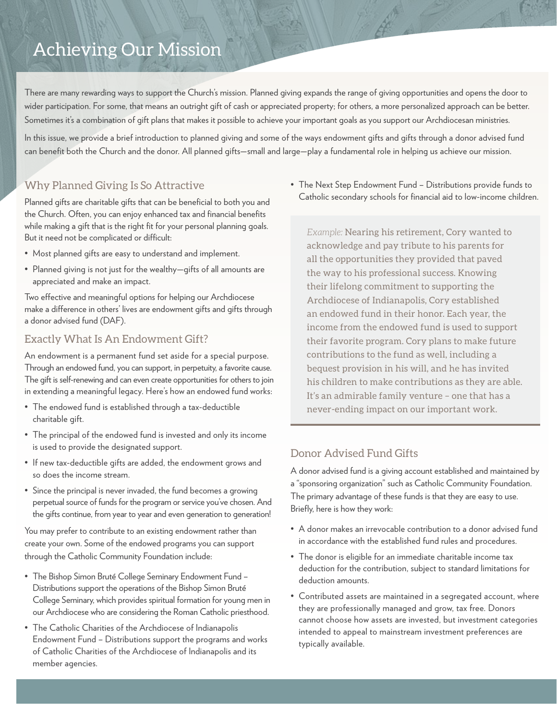### Achieving Our Mission

There are many rewarding ways to support the Church's mission. Planned giving expands the range of giving opportunities and opens the door to wider participation. For some, that means an outright gift of cash or appreciated property; for others, a more personalized approach can be better. Sometimes it's a combination of gift plans that makes it possible to achieve your important goals as you support our Archdiocesan ministries.

In this issue, we provide a brief introduction to planned giving and some of the ways endowment gifts and gifts through a donor advised fund can benefit both the Church and the donor. All planned gifts—small and large—play a fundamental role in helping us achieve our mission.

#### Why Planned Giving Is So Attractive

Planned gifts are charitable gifts that can be beneficial to both you and the Church. Often, you can enjoy enhanced tax and financial benefits while making a gift that is the right fit for your personal planning goals. But it need not be complicated or difficult:

- Most planned gifts are easy to understand and implement.
- Planned giving is not just for the wealthy—gifts of all amounts are appreciated and make an impact.

Two effective and meaningful options for helping our Archdiocese make a difference in others' lives are endowment gifts and gifts through a donor advised fund (DAF).

#### Exactly What Is An Endowment Gift?

An endowment is a permanent fund set aside for a special purpose. Through an endowed fund, you can support, in perpetuity, a favorite cause. The gift is self-renewing and can even create opportunities for others to join in extending a meaningful legacy. Here's how an endowed fund works:

- The endowed fund is established through a tax-deductible charitable gift.
- The principal of the endowed fund is invested and only its income is used to provide the designated support.
- If new tax-deductible gifts are added, the endowment grows and so does the income stream.
- Since the principal is never invaded, the fund becomes a growing perpetual source of funds for the program or service you've chosen. And the gifts continue, from year to year and even generation to generation!

You may prefer to contribute to an existing endowment rather than create your own. Some of the endowed programs you can support through the Catholic Community Foundation include:

- The Bishop Simon Bruté College Seminary Endowment Fund Distributions support the operations of the Bishop Simon Bruté College Seminary, which provides spiritual formation for young men in our Archdiocese who are considering the Roman Catholic priesthood.
- The Catholic Charities of the Archdiocese of Indianapolis Endowment Fund – Distributions support the programs and works of Catholic Charities of the Archdiocese of Indianapolis and its member agencies.

• The Next Step Endowment Fund – Distributions provide funds to Catholic secondary schools for financial aid to low-income children.

*Example:* Nearing his retirement, Cory wanted to acknowledge and pay tribute to his parents for all the opportunities they provided that paved the way to his professional success. Knowing their lifelong commitment to supporting the Archdiocese of Indianapolis, Cory established an endowed fund in their honor. Each year, the income from the endowed fund is used to support their favorite program. Cory plans to make future contributions to the fund as well, including a bequest provision in his will, and he has invited his children to make contributions as they are able. It's an admirable family venture – one that has a never-ending impact on our important work.

#### Donor Advised Fund Gifts

A donor advised fund is a giving account established and maintained by a "sponsoring organization" such as Catholic Community Foundation. The primary advantage of these funds is that they are easy to use. Briefly, here is how they work:

- A donor makes an irrevocable contribution to a donor advised fund in accordance with the established fund rules and procedures.
- The donor is eligible for an immediate charitable income tax deduction for the contribution, subject to standard limitations for deduction amounts.
- Contributed assets are maintained in a segregated account, where they are professionally managed and grow, tax free. Donors cannot choose how assets are invested, but investment categories intended to appeal to mainstream investment preferences are typically available.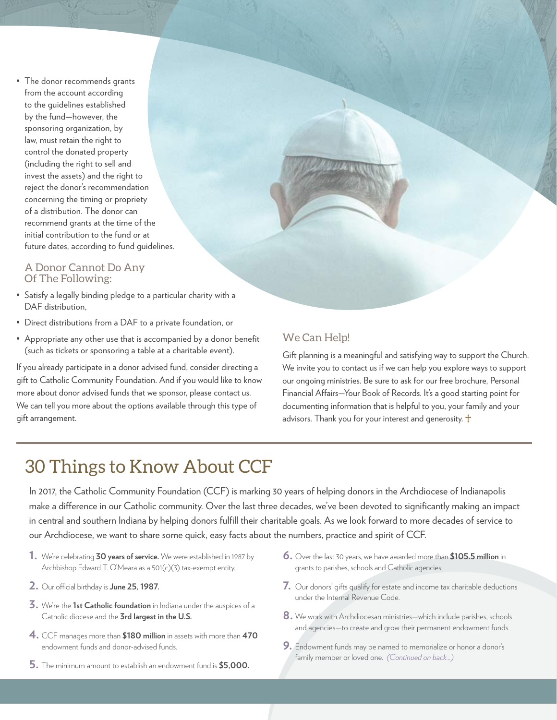• The donor recommends grants from the account according to the guidelines established by the fund—however, the sponsoring organization, by law, must retain the right to control the donated property (including the right to sell and invest the assets) and the right to reject the donor's recommendation concerning the timing or propriety of a distribution. The donor can recommend grants at the time of the initial contribution to the fund or at future dates, according to fund guidelines.

#### A Donor Cannot Do Any Of The Following:

- Satisfy a legally binding pledge to a particular charity with a DAF distribution.
- Direct distributions from a DAF to a private foundation, or
- Appropriate any other use that is accompanied by a donor benefit (such as tickets or sponsoring a table at a charitable event).

If you already participate in a donor advised fund, consider directing a gift to Catholic Community Foundation. And if you would like to know more about donor advised funds that we sponsor, please contact us. We can tell you more about the options available through this type of gift arrangement.

#### We Can Help!

Gift planning is a meaningful and satisfying way to support the Church. We invite you to contact us if we can help you explore ways to support our ongoing ministries. Be sure to ask for our free brochure, Personal Financial Affairs—Your Book of Records. It's a good starting point for documenting information that is helpful to you, your family and your advisors. Thank you for your interest and generosity.  $\dagger$ 

### 30 Things to Know About CCF

In 2017, the Catholic Community Foundation (CCF) is marking 30 years of helping donors in the Archdiocese of Indianapolis make a difference in our Catholic community. Over the last three decades, we've been devoted to significantly making an impact in central and southern Indiana by helping donors fulfill their charitable goals. As we look forward to more decades of service to our Archdiocese, we want to share some quick, easy facts about the numbers, practice and spirit of CCF.

- **1.** We're celebrating **30 years of service.** We were established in 1987 by Archbishop Edward T. O'Meara as a 501(c)(3) tax-exempt entity.
- **2.** Our official birthday is **June 25, 1987.**
- **3.** We're the **1st Catholic foundation** in Indiana under the auspices of a Catholic diocese and the **3rd largest in the U.S.**
- **4.** CCF manages more than **\$180 million** in assets with more than **<sup>470</sup>** endowment funds and donor-advised funds.
- **5.** The minimum amount to establish an endowment fund is **\$5,000.**
- **6.** Over the last 30 years, we have awarded more than **\$105.5 million** in grants to parishes, schools and Catholic agencies.
- **7.** Our donors' gifts qualify for estate and income tax charitable deductions under the Internal Revenue Code.
- **8.** We work with Archdiocesan ministries—which include parishes, schools and agencies—to create and grow their permanent endowment funds.
- **9.** Endowment funds may be named to memorialize or honor a donor's family member or loved one. *(Continued on back...)*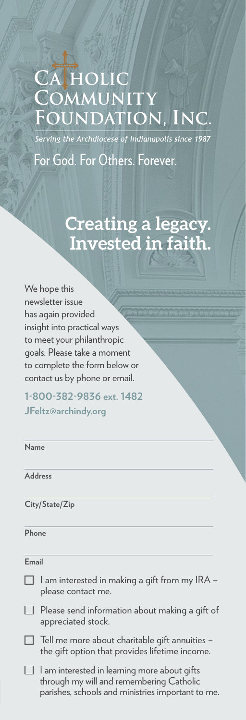### CAHOLIC COMMUNITY FOUNDATION, INC

-<br>Serving the Archdiocese of Indianapolis since 1987

For God. For Others. Forever.

### **Creating a legacy. Invested in faith.**

We hope this newsletter issue has again provided insight into practical ways to meet your philanthropic goals. Please take a moment to complete the form below or contact us by phone or email.

**1-800-382-9836 ext. 1482 JFeltz@archindy.org**

| Name<br><b>Address</b><br>City/State/Zip                                                                                                      |  |
|-----------------------------------------------------------------------------------------------------------------------------------------------|--|
|                                                                                                                                               |  |
|                                                                                                                                               |  |
|                                                                                                                                               |  |
| Phone                                                                                                                                         |  |
| Email                                                                                                                                         |  |
| l am interested in making a gift from my IRA –<br>please contact me.                                                                          |  |
| Please send information about making a gift of<br>appreciated stock.                                                                          |  |
| Tell me more about charitable gift annuities -<br>the gift option that provides lifetime income.                                              |  |
| l am interested in learning more about gifts<br>through my will and remembering Catholic<br>parishes, schools and ministries important to me. |  |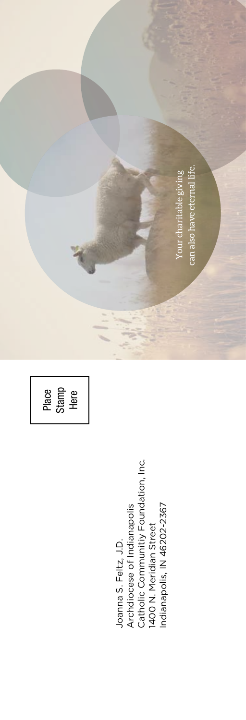can also have eternal life. can also have eternal life.Your charitable giving Your charitable giving Place Stamp Here

Joanna S. Feltz, J.D.<br>Archdiocese of Indianapolis<br>Catholic Communitiy Foundation, Inc.<br>1400 N. Meridian Street<br>Indianapolis, IN 46202-2367 Catholic Communitiy Foundation, Inc. Indianapolis, IN 46202-2367 Archdiocese of Indianapolis 1400 N. Meridian Street Joanna S. Feltz, J.D.